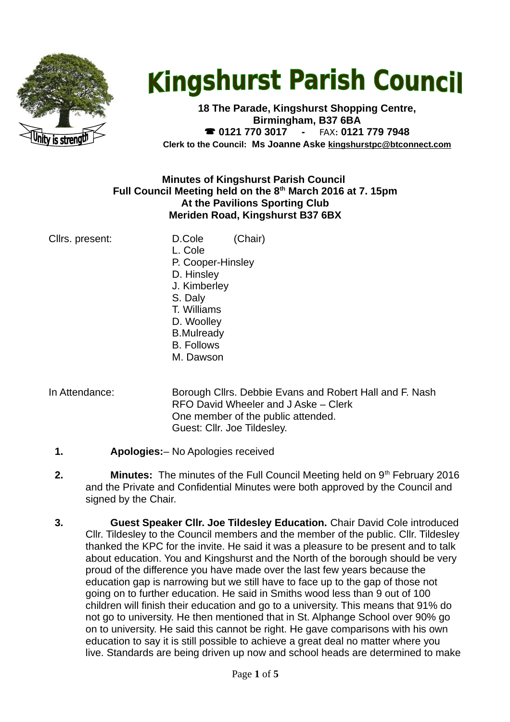

# **Kingshurst Parish Council**

**18 The Parade, Kingshurst Shopping Centre, Birmingham, B37 6BA 0121 770 3017 -** FAX**: 0121 779 7948 Clerk to the Council: Ms Joanne Aske [kingshurstpc@btconnect.com](mailto:kingshurstpc@btconnect.com)**

## **Minutes of Kingshurst Parish Council Full Council Meeting held on the 8th March 2016 at 7. 15pm At the Pavilions Sporting Club Meriden Road, Kingshurst B37 6BX**

- Cllrs. present: D.Cole (Chair) L. Cole P. Cooper-Hinsley D. Hinsley J. Kimberley S. Daly T. Williams D. Woolley B.Mulready B. Follows M. Dawson
- In Attendance: Borough Cllrs. Debbie Evans and Robert Hall and F. Nash RFO David Wheeler and J Aske – Clerk One member of the public attended. Guest: Cllr. Joe Tildesley.
	- **1. Apologies:** No Apologies received
	- **2. Minutes:** The minutes of the Full Council Meeting held on 9<sup>th</sup> February 2016 and the Private and Confidential Minutes were both approved by the Council and signed by the Chair.
	- **3. Guest Speaker Cllr. Joe Tildesley Education.** Chair David Cole introduced Cllr. Tildesley to the Council members and the member of the public. Cllr. Tildesley thanked the KPC for the invite. He said it was a pleasure to be present and to talk about education. You and Kingshurst and the North of the borough should be very proud of the difference you have made over the last few years because the education gap is narrowing but we still have to face up to the gap of those not going on to further education. He said in Smiths wood less than 9 out of 100 children will finish their education and go to a university. This means that 91% do not go to university. He then mentioned that in St. Alphange School over 90% go on to university. He said this cannot be right. He gave comparisons with his own education to say it is still possible to achieve a great deal no matter where you live. Standards are being driven up now and school heads are determined to make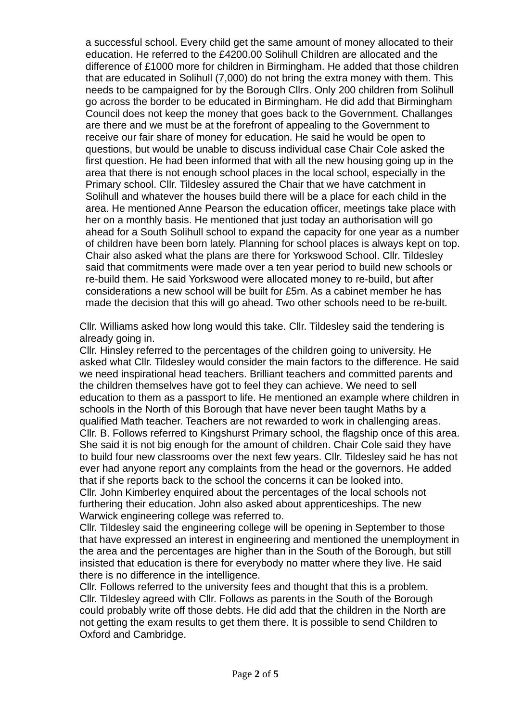a successful school. Every child get the same amount of money allocated to their education. He referred to the £4200.00 Solihull Children are allocated and the difference of £1000 more for children in Birmingham. He added that those children that are educated in Solihull (7,000) do not bring the extra money with them. This needs to be campaigned for by the Borough Cllrs. Only 200 children from Solihull go across the border to be educated in Birmingham. He did add that Birmingham Council does not keep the money that goes back to the Government. Challanges are there and we must be at the forefront of appealing to the Government to receive our fair share of money for education. He said he would be open to questions, but would be unable to discuss individual case Chair Cole asked the first question. He had been informed that with all the new housing going up in the area that there is not enough school places in the local school, especially in the Primary school. Cllr. Tildesley assured the Chair that we have catchment in Solihull and whatever the houses build there will be a place for each child in the area. He mentioned Anne Pearson the education officer, meetings take place with her on a monthly basis. He mentioned that just today an authorisation will go ahead for a South Solihull school to expand the capacity for one year as a number of children have been born lately. Planning for school places is always kept on top. Chair also asked what the plans are there for Yorkswood School. Cllr. Tildesley said that commitments were made over a ten year period to build new schools or re-build them. He said Yorkswood were allocated money to re-build, but after considerations a new school will be built for £5m. As a cabinet member he has made the decision that this will go ahead. Two other schools need to be re-built.

Cllr. Williams asked how long would this take. Cllr. Tildesley said the tendering is already going in.

Cllr. Hinsley referred to the percentages of the children going to university. He asked what Cllr. Tildesley would consider the main factors to the difference. He said we need inspirational head teachers. Brilliant teachers and committed parents and the children themselves have got to feel they can achieve. We need to sell education to them as a passport to life. He mentioned an example where children in schools in the North of this Borough that have never been taught Maths by a qualified Math teacher. Teachers are not rewarded to work in challenging areas. Cllr. B. Follows referred to Kingshurst Primary school, the flagship once of this area. She said it is not big enough for the amount of children. Chair Cole said they have to build four new classrooms over the next few years. Cllr. Tildesley said he has not ever had anyone report any complaints from the head or the governors. He added that if she reports back to the school the concerns it can be looked into. Cllr. John Kimberley enquired about the percentages of the local schools not furthering their education. John also asked about apprenticeships. The new Warwick engineering college was referred to.

Cllr. Tildesley said the engineering college will be opening in September to those that have expressed an interest in engineering and mentioned the unemployment in the area and the percentages are higher than in the South of the Borough, but still insisted that education is there for everybody no matter where they live. He said there is no difference in the intelligence.

Cllr. Follows referred to the university fees and thought that this is a problem. Cllr. Tildesley agreed with Cllr. Follows as parents in the South of the Borough could probably write off those debts. He did add that the children in the North are not getting the exam results to get them there. It is possible to send Children to Oxford and Cambridge.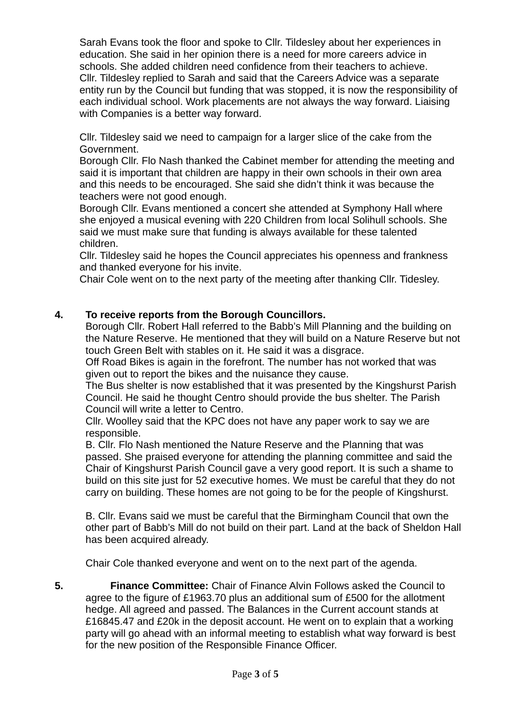Sarah Evans took the floor and spoke to Cllr. Tildesley about her experiences in education. She said in her opinion there is a need for more careers advice in schools. She added children need confidence from their teachers to achieve. Cllr. Tildesley replied to Sarah and said that the Careers Advice was a separate entity run by the Council but funding that was stopped, it is now the responsibility of each individual school. Work placements are not always the way forward. Liaising with Companies is a better way forward.

Cllr. Tildesley said we need to campaign for a larger slice of the cake from the Government.

Borough Cllr. Flo Nash thanked the Cabinet member for attending the meeting and said it is important that children are happy in their own schools in their own area and this needs to be encouraged. She said she didn't think it was because the teachers were not good enough.

Borough Cllr. Evans mentioned a concert she attended at Symphony Hall where she enjoyed a musical evening with 220 Children from local Solihull schools. She said we must make sure that funding is always available for these talented children.

Cllr. Tildesley said he hopes the Council appreciates his openness and frankness and thanked everyone for his invite.

Chair Cole went on to the next party of the meeting after thanking Cllr. Tidesley.

# **4. To receive reports from the Borough Councillors.**

Borough Cllr. Robert Hall referred to the Babb's Mill Planning and the building on the Nature Reserve. He mentioned that they will build on a Nature Reserve but not touch Green Belt with stables on it. He said it was a disgrace.

Off Road Bikes is again in the forefront. The number has not worked that was given out to report the bikes and the nuisance they cause.

The Bus shelter is now established that it was presented by the Kingshurst Parish Council. He said he thought Centro should provide the bus shelter. The Parish Council will write a letter to Centro.

Cllr. Woolley said that the KPC does not have any paper work to say we are responsible.

B. Cllr. Flo Nash mentioned the Nature Reserve and the Planning that was passed. She praised everyone for attending the planning committee and said the Chair of Kingshurst Parish Council gave a very good report. It is such a shame to build on this site just for 52 executive homes. We must be careful that they do not carry on building. These homes are not going to be for the people of Kingshurst.

B. Cllr. Evans said we must be careful that the Birmingham Council that own the other part of Babb's Mill do not build on their part. Land at the back of Sheldon Hall has been acquired already.

Chair Cole thanked everyone and went on to the next part of the agenda.

**5. Finance Committee:** Chair of Finance Alvin Follows asked the Council to agree to the figure of £1963.70 plus an additional sum of £500 for the allotment hedge. All agreed and passed. The Balances in the Current account stands at £16845.47 and £20k in the deposit account. He went on to explain that a working party will go ahead with an informal meeting to establish what way forward is best for the new position of the Responsible Finance Officer.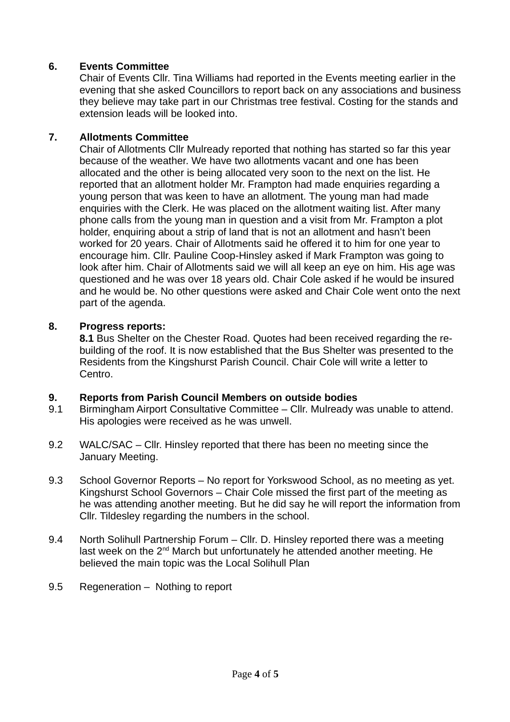# **6. Events Committee**

Chair of Events Cllr. Tina Williams had reported in the Events meeting earlier in the evening that she asked Councillors to report back on any associations and business they believe may take part in our Christmas tree festival. Costing for the stands and extension leads will be looked into.

## **7. Allotments Committee**

Chair of Allotments Cllr Mulready reported that nothing has started so far this year because of the weather. We have two allotments vacant and one has been allocated and the other is being allocated very soon to the next on the list. He reported that an allotment holder Mr. Frampton had made enquiries regarding a young person that was keen to have an allotment. The young man had made enquiries with the Clerk. He was placed on the allotment waiting list. After many phone calls from the young man in question and a visit from Mr. Frampton a plot holder, enquiring about a strip of land that is not an allotment and hasn't been worked for 20 years. Chair of Allotments said he offered it to him for one year to encourage him. Cllr. Pauline Coop-Hinsley asked if Mark Frampton was going to look after him. Chair of Allotments said we will all keep an eye on him. His age was questioned and he was over 18 years old. Chair Cole asked if he would be insured and he would be. No other questions were asked and Chair Cole went onto the next part of the agenda.

# **8. Progress reports:**

**8.1** Bus Shelter on the Chester Road. Quotes had been received regarding the rebuilding of the roof. It is now established that the Bus Shelter was presented to the Residents from the Kingshurst Parish Council. Chair Cole will write a letter to Centro.

# **9. Reports from Parish Council Members on outside bodies**

- 9.1 Birmingham Airport Consultative Committee Cllr. Mulready was unable to attend. His apologies were received as he was unwell.
- 9.2 WALC/SAC Cllr. Hinsley reported that there has been no meeting since the January Meeting.
- 9.3 School Governor Reports No report for Yorkswood School, as no meeting as yet. Kingshurst School Governors – Chair Cole missed the first part of the meeting as he was attending another meeting. But he did say he will report the information from Cllr. Tildesley regarding the numbers in the school.
- 9.4 North Solihull Partnership Forum Cllr. D. Hinsley reported there was a meeting last week on the 2<sup>nd</sup> March but unfortunately he attended another meeting. He believed the main topic was the Local Solihull Plan
- 9.5 Regeneration Nothing to report